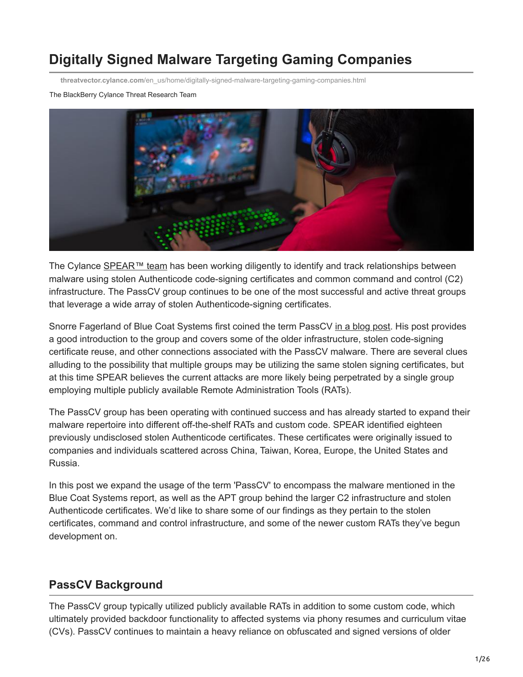# **Digitally Signed Malware Targeting Gaming Companies**

**threatvector.cylance.com**[/en\\_us/home/digitally-signed-malware-targeting-gaming-companies.html](https://threatvector.cylance.com/en_us/home/digitally-signed-malware-targeting-gaming-companies.html)

#### The BlackBerry Cylance Threat Research Team



The Cylance [SPEAR™ team](https://threatvector.cylance.com/content/cylance/en_us/blog/we-are-spear-the-cylance-research-team.html) has been working diligently to identify and track relationships between malware using stolen Authenticode code-signing certificates and common command and control (C2) infrastructure. The PassCV group continues to be one of the most successful and active threat groups that leverage a wide array of stolen Authenticode-signing certificates.

Snorre Fagerland of Blue Coat Systems first coined the term PassCV [in a blog post.](https://www.bluecoat.com/security-blog/2014-07-21/korean-gaming-industry-still-under-fire) His post provides a good introduction to the group and covers some of the older infrastructure, stolen code-signing certificate reuse, and other connections associated with the PassCV malware. There are several clues alluding to the possibility that multiple groups may be utilizing the same stolen signing certificates, but at this time SPEAR believes the current attacks are more likely being perpetrated by a single group employing multiple publicly available Remote Administration Tools (RATs).

The PassCV group has been operating with continued success and has already started to expand their malware repertoire into different off-the-shelf RATs and custom code. SPEAR identified eighteen previously undisclosed stolen Authenticode certificates. These certificates were originally issued to companies and individuals scattered across China, Taiwan, Korea, Europe, the United States and Russia.

In this post we expand the usage of the term 'PassCV' to encompass the malware mentioned in the Blue Coat Systems report, as well as the APT group behind the larger C2 infrastructure and stolen Authenticode certificates. We'd like to share some of our findings as they pertain to the stolen certificates, command and control infrastructure, and some of the newer custom RATs they've begun development on.

# **PassCV Background**

The PassCV group typically utilized publicly available RATs in addition to some custom code, which ultimately provided backdoor functionality to affected systems via phony resumes and curriculum vitae (CVs). PassCV continues to maintain a heavy reliance on obfuscated and signed versions of older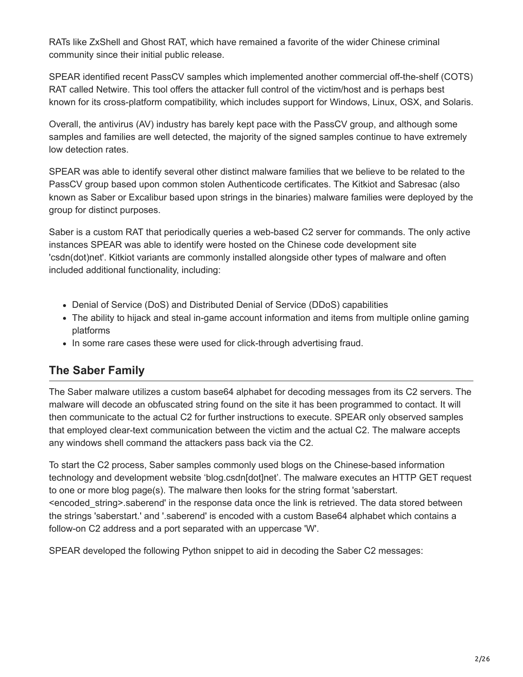RATs like ZxShell and Ghost RAT, which have remained a favorite of the wider Chinese criminal community since their initial public release.

SPEAR identified recent PassCV samples which implemented another commercial off-the-shelf (COTS) RAT called Netwire. This tool offers the attacker full control of the victim/host and is perhaps best known for its cross-platform compatibility, which includes support for Windows, Linux, OSX, and Solaris.

Overall, the antivirus (AV) industry has barely kept pace with the PassCV group, and although some samples and families are well detected, the majority of the signed samples continue to have extremely low detection rates.

SPEAR was able to identify several other distinct malware families that we believe to be related to the PassCV group based upon common stolen Authenticode certificates. The Kitkiot and Sabresac (also known as Saber or Excalibur based upon strings in the binaries) malware families were deployed by the group for distinct purposes.

Saber is a custom RAT that periodically queries a web-based C2 server for commands. The only active instances SPEAR was able to identify were hosted on the Chinese code development site 'csdn(dot)net'. Kitkiot variants are commonly installed alongside other types of malware and often included additional functionality, including:

- Denial of Service (DoS) and Distributed Denial of Service (DDoS) capabilities
- The ability to hijack and steal in-game account information and items from multiple online gaming platforms
- In some rare cases these were used for click-through advertising fraud.

# **The Saber Family**

The Saber malware utilizes a custom base64 alphabet for decoding messages from its C2 servers. The malware will decode an obfuscated string found on the site it has been programmed to contact. It will then communicate to the actual C2 for further instructions to execute. SPEAR only observed samples that employed clear-text communication between the victim and the actual C2. The malware accepts any windows shell command the attackers pass back via the C2.

To start the C2 process, Saber samples commonly used blogs on the Chinese-based information technology and development website 'blog.csdn[dot]net'. The malware executes an HTTP GET request to one or more blog page(s). The malware then looks for the string format 'saberstart. <encoded\_string>.saberend' in the response data once the link is retrieved. The data stored between the strings 'saberstart.' and '.saberend' is encoded with a custom Base64 alphabet which contains a follow-on C2 address and a port separated with an uppercase 'W'.

SPEAR developed the following Python snippet to aid in decoding the Saber C2 messages: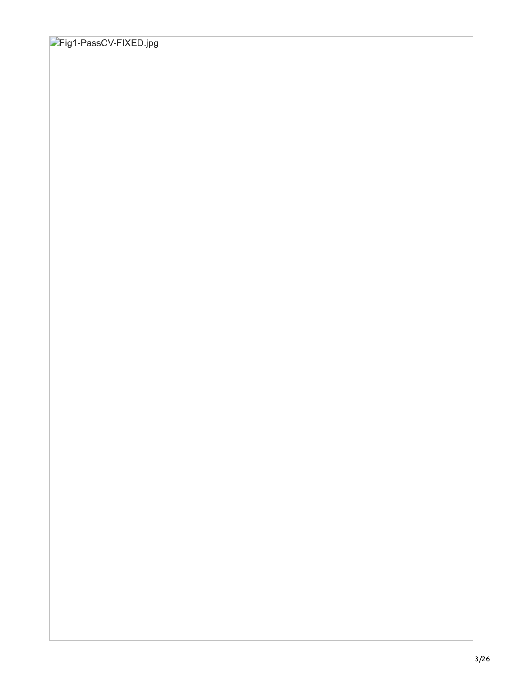# Fig1-PassCV-FIXED.jpg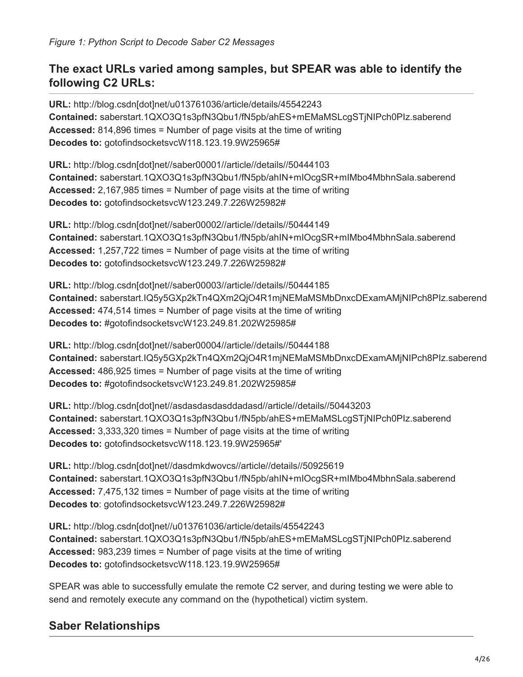# **The exact URLs varied among samples, but SPEAR was able to identify the following C2 URLs:**

**URL:** http://blog.csdn[dot]net/u013761036/article/details/45542243 **Contained:** saberstart.1QXO3Q1s3pfN3Qbu1/fN5pb/ahES+mEMaMSLcgSTjNIPch0PIz.saberend **Accessed:** 814,896 times = Number of page visits at the time of writing **Decodes to:** gotofindsocketsvcW118.123.19.9W25965#

**URL:** http://blog.csdn[dot]net//saber00001//article//details//50444103 **Contained:** saberstart.1QXO3Q1s3pfN3Qbu1/fN5pb/ahIN+mIOcgSR+mIMbo4MbhnSala.saberend **Accessed:** 2,167,985 times = Number of page visits at the time of writing **Decodes to:** gotofindsocketsvcW123.249.7.226W25982#

**URL:** http://blog.csdn[dot]net//saber00002//article//details//50444149 **Contained:** saberstart.1QXO3Q1s3pfN3Qbu1/fN5pb/ahIN+mIOcgSR+mIMbo4MbhnSala.saberend **Accessed:** 1,257,722 times = Number of page visits at the time of writing **Decodes to:** gotofindsocketsvcW123.249.7.226W25982#

**URL:** http://blog.csdn[dot]net//saber00003//article//details//50444185 **Contained:** saberstart.IQ5y5GXp2kTn4QXm2QjO4R1mjNEMaMSMbDnxcDExamAMjNIPch8PIz.saberend **Accessed:** 474,514 times = Number of page visits at the time of writing **Decodes to:** #gotofindsocketsvcW123.249.81.202W25985#

**URL:** http://blog.csdn[dot]net//saber00004//article//details//50444188 **Contained:** saberstart.IQ5y5GXp2kTn4QXm2QjO4R1mjNEMaMSMbDnxcDExamAMjNIPch8PIz.saberend **Accessed:** 486,925 times = Number of page visits at the time of writing **Decodes to:** #gotofindsocketsvcW123.249.81.202W25985#

**URL:** http://blog.csdn[dot]net//asdasdasdasddadasd//article//details//50443203 **Contained:** saberstart.1QXO3Q1s3pfN3Qbu1/fN5pb/ahES+mEMaMSLcgSTjNIPch0PIz.saberend **Accessed:** 3,333,320 times = Number of page visits at the time of writing **Decodes to:** gotofindsocketsvcW118.123.19.9W25965#'

**URL:** http://blog.csdn[dot]net//dasdmkdwovcs//article//details//50925619 **Contained:** saberstart.1QXO3Q1s3pfN3Qbu1/fN5pb/ahIN+mIOcgSR+mIMbo4MbhnSala.saberend **Accessed:** 7,475,132 times = Number of page visits at the time of writing **Decodes to**: gotofindsocketsvcW123.249.7.226W25982#

**URL:** http://blog.csdn[dot]net//u013761036/article/details/45542243 **Contained:** saberstart.1QXO3Q1s3pfN3Qbu1/fN5pb/ahES+mEMaMSLcgSTjNIPch0PIz.saberend **Accessed:** 983,239 times = Number of page visits at the time of writing **Decodes to:** gotofindsocketsvcW118.123.19.9W25965#

SPEAR was able to successfully emulate the remote C2 server, and during testing we were able to send and remotely execute any command on the (hypothetical) victim system.

# **Saber Relationships**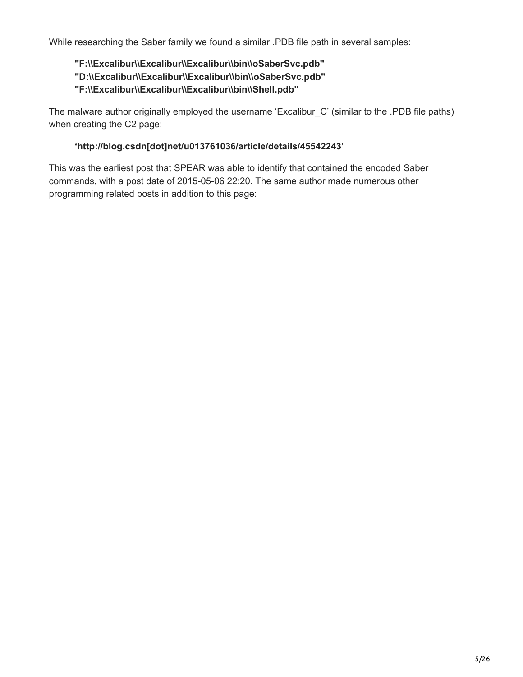While researching the Saber family we found a similar .PDB file path in several samples:

# **"F:\\Excalibur\\Excalibur\\Excalibur\\bin\\oSaberSvc.pdb" "D:\\Excalibur\\Excalibur\\Excalibur\\bin\\oSaberSvc.pdb" "F:\\Excalibur\\Excalibur\\Excalibur\\bin\\Shell.pdb"**

The malware author originally employed the username 'Excalibur\_C' (similar to the .PDB file paths) when creating the C2 page:

## **'http://blog.csdn[dot]net/u013761036/article/details/45542243'**

This was the earliest post that SPEAR was able to identify that contained the encoded Saber commands, with a post date of 2015-05-06 22:20. The same author made numerous other programming related posts in addition to this page: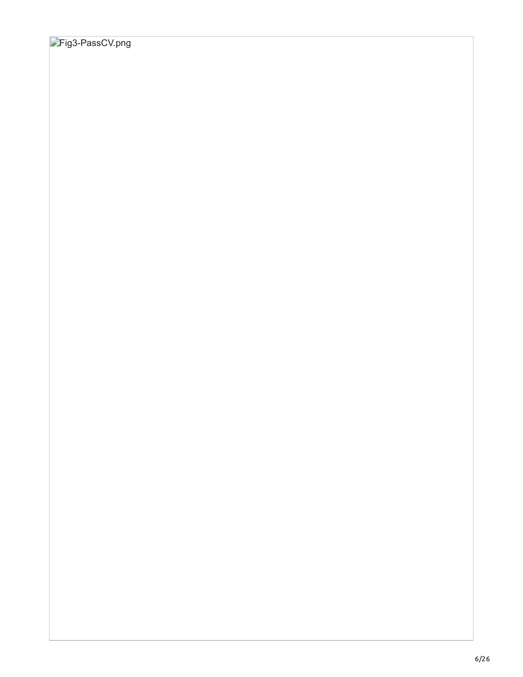# **Fig3-PassCV.png**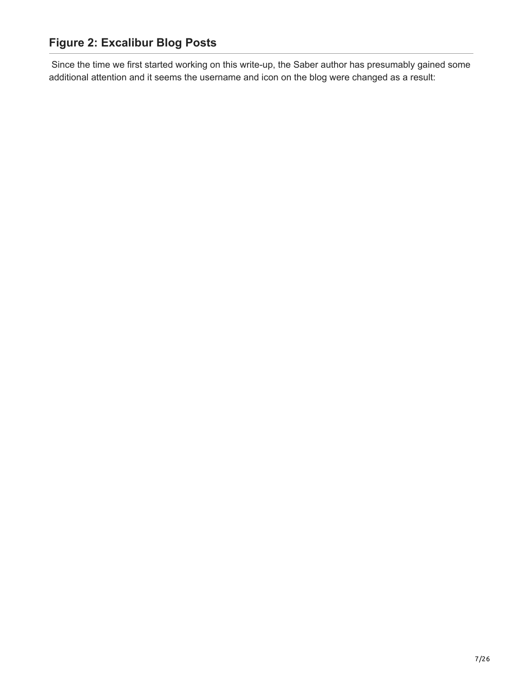Since the time we first started working on this write-up, the Saber author has presumably gained some additional attention and it seems the username and icon on the blog were changed as a result: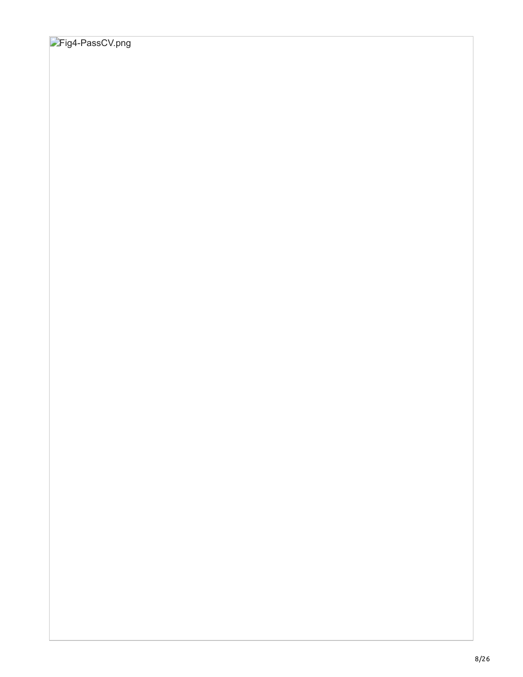# Fig4-PassCV.png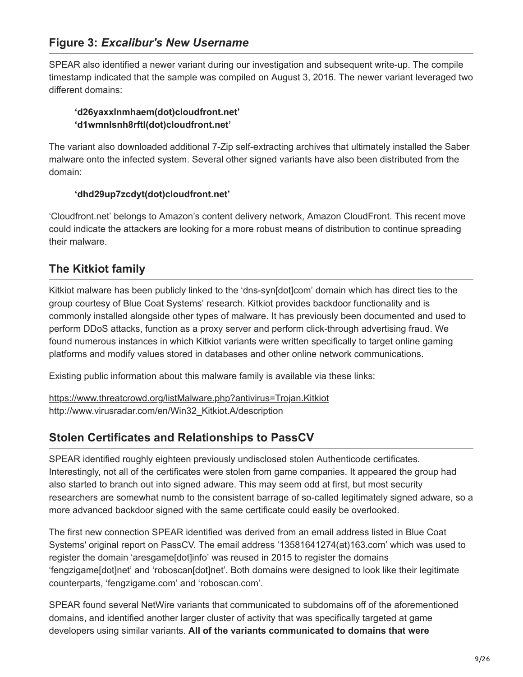# **Figure 3:** *Excalibur's New Username*

SPEAR also identified a newer variant during our investigation and subsequent write-up. The compile timestamp indicated that the sample was compiled on August 3, 2016. The newer variant leveraged two different domains:

### **'d26yaxxlnmhaem(dot)cloudfront.net' 'd1wmnlsnh8rftl(dot)cloudfront.net'**

The variant also downloaded additional 7-Zip self-extracting archives that ultimately installed the Saber malware onto the infected system. Several other signed variants have also been distributed from the domain:

## **'dhd29up7zcdyt(dot)cloudfront.net'**

'Cloudfront.net' belongs to Amazon's content delivery network, Amazon CloudFront. This recent move could indicate the attackers are looking for a more robust means of distribution to continue spreading their malware.

# **The Kitkiot family**

Kitkiot malware has been publicly linked to the 'dns-syn[dot]com' domain which has direct ties to the group courtesy of Blue Coat Systems' research. Kitkiot provides backdoor functionality and is commonly installed alongside other types of malware. It has previously been documented and used to perform DDoS attacks, function as a proxy server and perform click-through advertising fraud. We found numerous instances in which Kitkiot variants were written specifically to target online gaming platforms and modify values stored in databases and other online network communications.

Existing public information about this malware family is available via these links:

<https://www.threatcrowd.org/listMalware.php?antivirus=Trojan.Kitkiot> [http://www.virusradar.com/en/Win32\\_Kitkiot.A/description](http://www.virusradar.com/en/Win32_Kitkiot.A/description)

# **Stolen Certificates and Relationships to PassCV**

SPEAR identified roughly eighteen previously undisclosed stolen Authenticode certificates. Interestingly, not all of the certificates were stolen from game companies. It appeared the group had also started to branch out into signed adware. This may seem odd at first, but most security researchers are somewhat numb to the consistent barrage of so-called legitimately signed adware, so a more advanced backdoor signed with the same certificate could easily be overlooked.

The first new connection SPEAR identified was derived from an email address listed in Blue Coat Systems' original report on PassCV. The email address '13581641274(at)163.com' which was used to register the domain 'aresgame[dot]info' was reused in 2015 to register the domains 'fengzigame[dot]net' and 'roboscan[dot]net'. Both domains were designed to look like their legitimate counterparts, 'fengzigame.com' and 'roboscan.com'.

SPEAR found several NetWire variants that communicated to subdomains off of the aforementioned domains, and identified another larger cluster of activity that was specifically targeted at game developers using similar variants. **All of the variants communicated to domains that were**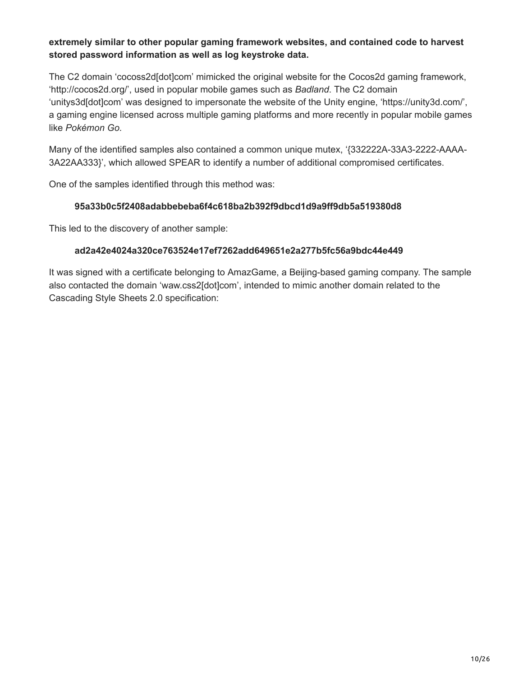## **extremely similar to other popular gaming framework websites, and contained code to harvest stored password information as well as log keystroke data.**

The C2 domain 'cocoss2d[dot]com' mimicked the original website for the Cocos2d gaming framework, 'http://cocos2d.org/', used in popular mobile games such as *Badland*. The C2 domain 'unitys3d[dot]com' was designed to impersonate the website of the Unity engine, 'https://unity3d.com/', a gaming engine licensed across multiple gaming platforms and more recently in popular mobile games like *Pokémon Go.*

Many of the identified samples also contained a common unique mutex, '{332222A-33A3-2222-AAAA-3A22AA333}', which allowed SPEAR to identify a number of additional compromised certificates.

One of the samples identified through this method was:

## **95a33b0c5f2408adabbebeba6f4c618ba2b392f9dbcd1d9a9ff9db5a519380d8**

This led to the discovery of another sample:

### **ad2a42e4024a320ce763524e17ef7262add649651e2a277b5fc56a9bdc44e449**

It was signed with a certificate belonging to AmazGame, a Beijing-based gaming company. The sample also contacted the domain 'waw.css2[dot]com', intended to mimic another domain related to the Cascading Style Sheets 2.0 specification: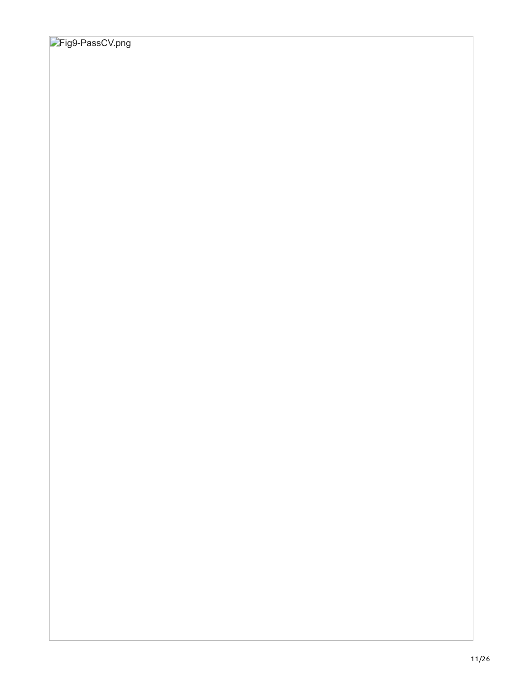# **Fig9-PassCV.png**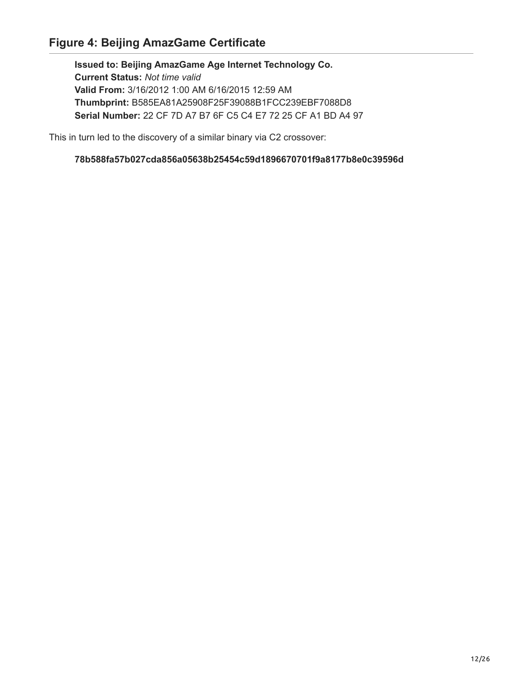**Issued to: Beijing AmazGame Age Internet Technology Co. Current Status:** *Not time valid*  **Valid From:** 3/16/2012 1:00 AM 6/16/2015 12:59 AM  **Thumbprint:** B585EA81A25908F25F39088B1FCC239EBF7088D8  **Serial Number:** 22 CF 7D A7 B7 6F C5 C4 E7 72 25 CF A1 BD A4 97

This in turn led to the discovery of a similar binary via C2 crossover:

 **78b588fa57b027cda856a05638b25454c59d1896670701f9a8177b8e0c39596d**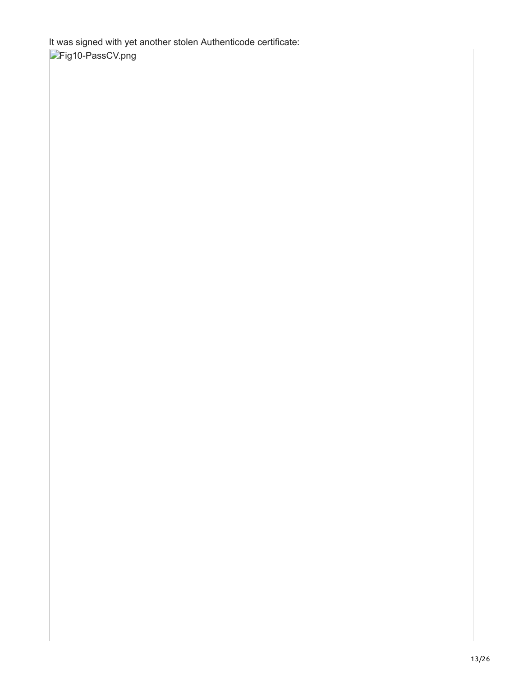It was signed with yet another stolen Authenticode certificate:

Fig10-PassCV.png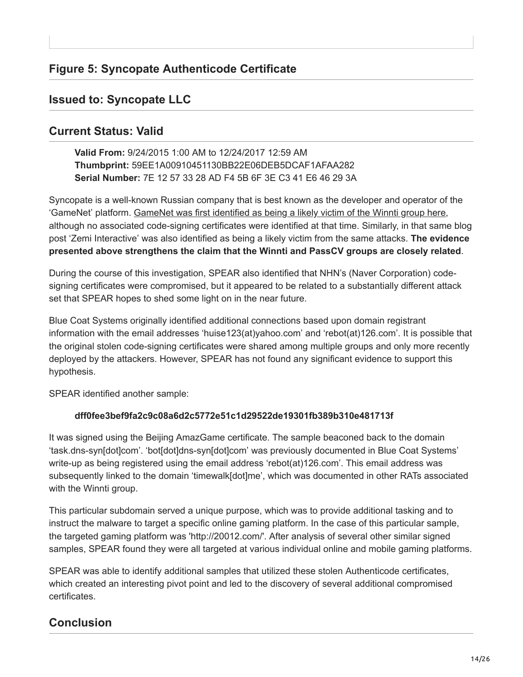# **Issued to: Syncopate LLC**

# **Current Status: Valid**

 **Valid From:** 9/24/2015 1:00 AM to 12/24/2017 12:59 AM  **Thumbprint:** 59EE1A00910451130BB22E06DEB5DCAF1AFAA282  **Serial Number:** 7E 12 57 33 28 AD F4 5B 6F 3E C3 41 E6 46 29 3A

Syncopate is a well-known Russian company that is best known as the developer and operator of the 'GameNet' platform. [GameNet was first identified as being a likely victim of the Winnti group here](https://securelist.com/blog/research/57585/winnti-faq-more-than-just-a-game/), although no associated code-signing certificates were identified at that time. Similarly, in that same blog post 'Zemi Interactive' was also identified as being a likely victim from the same attacks. **The evidence presented above strengthens the claim that the Winnti and PassCV groups are closely related**.

During the course of this investigation, SPEAR also identified that NHN's (Naver Corporation) codesigning certificates were compromised, but it appeared to be related to a substantially different attack set that SPEAR hopes to shed some light on in the near future.

Blue Coat Systems originally identified additional connections based upon domain registrant information with the email addresses 'huise123(at)yahoo.com' and 'rebot(at)126.com'. It is possible that the original stolen code-signing certificates were shared among multiple groups and only more recently deployed by the attackers. However, SPEAR has not found any significant evidence to support this hypothesis.

SPEAR identified another sample:

# **dff0fee3bef9fa2c9c08a6d2c5772e51c1d29522de19301fb389b310e481713f**

It was signed using the Beijing AmazGame certificate. The sample beaconed back to the domain 'task.dns-syn[dot]com'. 'bot[dot]dns-syn[dot]com' was previously documented in Blue Coat Systems' write-up as being registered using the email address 'rebot(at)126.com'. This email address was subsequently linked to the domain 'timewalk[dot]me', which was documented in other RATs associated with the Winnti group.

This particular subdomain served a unique purpose, which was to provide additional tasking and to instruct the malware to target a specific online gaming platform. In the case of this particular sample, the targeted gaming platform was 'http://20012.com/'. After analysis of several other similar signed samples, SPEAR found they were all targeted at various individual online and mobile gaming platforms.

SPEAR was able to identify additional samples that utilized these stolen Authenticode certificates, which created an interesting pivot point and led to the discovery of several additional compromised certificates.

# **Conclusion**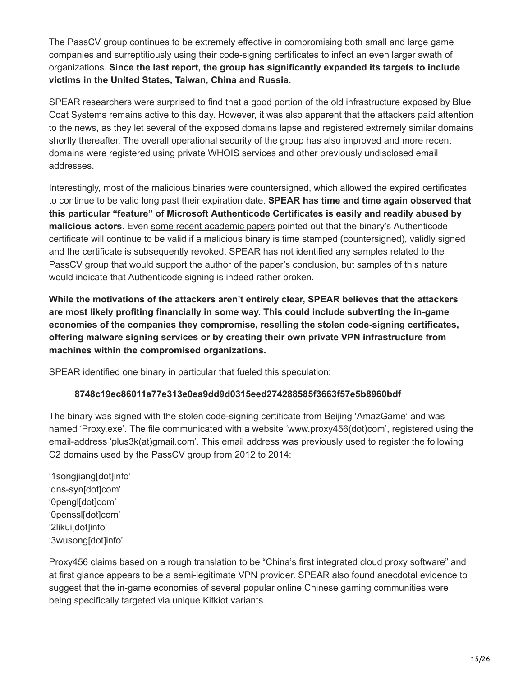The PassCV group continues to be extremely effective in compromising both small and large game companies and surreptitiously using their code-signing certificates to infect an even larger swath of organizations. **Since the last report, the group has significantly expanded its targets to include victims in the United States, Taiwan, China and Russia.**

SPEAR researchers were surprised to find that a good portion of the old infrastructure exposed by Blue Coat Systems remains active to this day. However, it was also apparent that the attackers paid attention to the news, as they let several of the exposed domains lapse and registered extremely similar domains shortly thereafter. The overall operational security of the group has also improved and more recent domains were registered using private WHOIS services and other previously undisclosed email addresses.

Interestingly, most of the malicious binaries were countersigned, which allowed the expired certificates to continue to be valid long past their expiration date. **SPEAR has time and time again observed that this particular "feature" of Microsoft Authenticode Certificates is easily and readily abused by malicious actors.** Even [some recent academic papers](https://software.imdea.org/~juanca/papers/malsign_ccs15.pdf) pointed out that the binary's Authenticode certificate will continue to be valid if a malicious binary is time stamped (countersigned), validly signed and the certificate is subsequently revoked. SPEAR has not identified any samples related to the PassCV group that would support the author of the paper's conclusion, but samples of this nature would indicate that Authenticode signing is indeed rather broken.

**While the motivations of the attackers aren't entirely clear, SPEAR believes that the attackers are most likely profiting financially in some way. This could include subverting the in-game economies of the companies they compromise, reselling the stolen code-signing certificates, offering malware signing services or by creating their own private VPN infrastructure from machines within the compromised organizations.**

SPEAR identified one binary in particular that fueled this speculation:

# **8748c19ec86011a77e313e0ea9dd9d0315eed274288585f3663f57e5b8960bdf**

The binary was signed with the stolen code-signing certificate from Beijing 'AmazGame' and was named 'Proxy.exe'. The file communicated with a website 'www.proxy456(dot)com', registered using the email-address 'plus3k(at)gmail.com'. This email address was previously used to register the following C2 domains used by the PassCV group from 2012 to 2014:

'1songjiang[dot]info' 'dns-syn[dot]com' '0pengl[dot]com' '0penssl[dot]com' '2likui[dot]info' '3wusong[dot]info'

Proxy456 claims based on a rough translation to be "China's first integrated cloud proxy software" and at first glance appears to be a semi-legitimate VPN provider. SPEAR also found anecdotal evidence to suggest that the in-game economies of several popular online Chinese gaming communities were being specifically targeted via unique Kitkiot variants.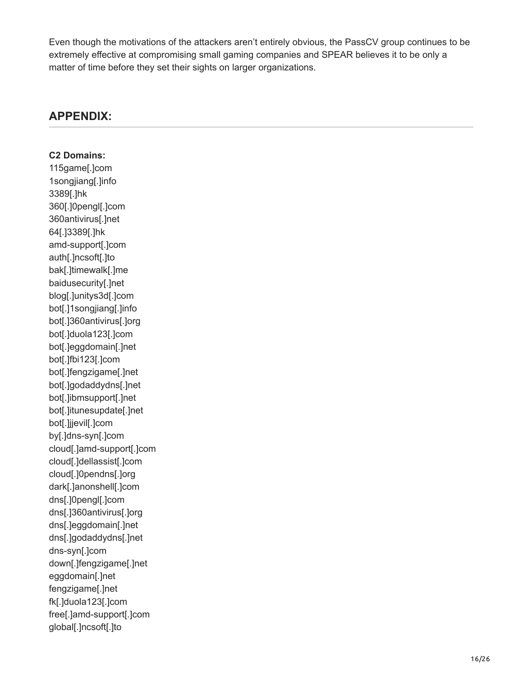Even though the motivations of the attackers aren't entirely obvious, the PassCV group continues to be extremely effective at compromising small gaming companies and SPEAR believes it to be only a matter of time before they set their sights on larger organizations.

# **APPENDIX:**

**C2 Domains:** 115game[.]com 1songjiang[.]info 3389[.]hk 360[.]0pengl[.]com 360antivirus[.]net 64[.]3389[.]hk amd-support[.]com auth[.]ncsoft[.]to bak[.]timewalk[.]me baidusecurity[.]net blog[.]unitys3d[.]com bot[.]1songjiang[.]info bot[.]360antivirus[.]org bot[.]duola123[.]com bot[.]eggdomain[.]net bot[.]fbi123[.]com bot[.]fengzigame[.]net bot[.]godaddydns[.]net bot[.]ibmsupport[.]net bot[.]itunesupdate[.]net bot[.]jjevil[.]com by[.]dns-syn[.]com cloud[.]amd-support[.]com cloud[.]dellassist[.]com cloud[.]0pendns[.]org dark[.]anonshell[.]com dns[.]0pengl[.]com dns[.]360antivirus[.]org dns[.]eggdomain[.]net dns[.]godaddydns[.]net dns-syn[.]com down[.]fengzigame[.]net eggdomain[.]net fengzigame[.]net fk[.]duola123[.]com free[.]amd-support[.]com global[.]ncsoft[.]to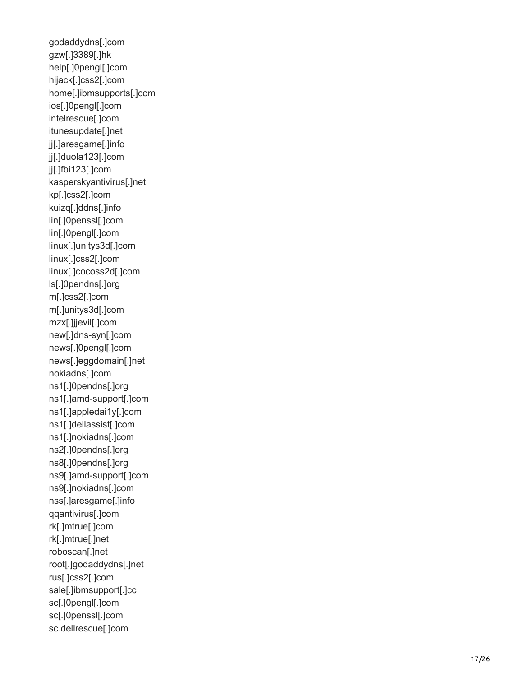godaddydns[.]com gzw[.]3389[.]hk help[.]0pengl[.]com hijack[.]css2[.]com home[.]ibmsupports[.]com ios[.]0pengl[.]com intelrescue[.]com itunesupdate[.]net jj[.]aresgame[.]info jj[.]duola123[.]com jj[.]fbi123[.]com kasperskyantivirus[.]net kp[.]css2[.]com kuizq[.]ddns[.]info lin[.]0penssl[.]com lin[.]0pengl[.]com linux[.]unitys3d[.]com linux[.]css2[.]com linux[.]cocoss2d[.]com ls[.]0pendns[.]org m[.]css2[.]com m[.]unitys3d[.]com mzx[.]jjevil[.]com new[.]dns-syn[.]com news[.]0pengl[.]com news[.]eggdomain[.]net nokiadns[.]com ns1[.]0pendns[.]org ns1[.]amd-support[.]com ns1[.]appledai1y[.]com ns1[.]dellassist[.]com ns1[.]nokiadns[.]com ns2[.]0pendns[.]org ns8[.]0pendns[.]org ns9[.]amd-support[.]com ns9[.]nokiadns[.]com nss[.]aresgame[.]info qqantivirus[.]com rk[.]mtrue[.]com rk[.]mtrue[.]net roboscan[.]net root[.]godaddydns[.]net rus[.]css2[.]com sale[.]ibmsupport[.]cc sc[.]0pengl[.]com sc[.]0penssl[.]com sc.dellrescue[.]com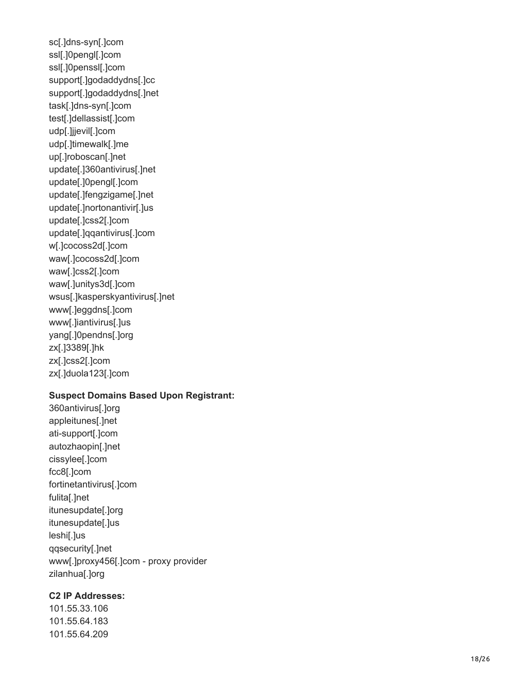sc[.]dns-syn[.]com ssl[.]0pengl[.]com ssl[.]0penssl[.]com support[.]godaddydns[.]cc support[.]godaddydns[.]net task[.]dns-syn[.]com test[.]dellassist[.]com udp[.]jjevil[.]com udp[.]timewalk[.]me up[.]roboscan[.]net update[.]360antivirus[.]net update[.]0pengl[.]com update[.]fengzigame[.]net update[.]nortonantivir[.]us update[.]css2[.]com update[.]qqantivirus[.]com w[.]cocoss2d[.]com waw[.]cocoss2d[.]com waw[.]css2[.]com waw[.]unitys3d[.]com wsus[.]kasperskyantivirus[.]net www[.]eggdns[.]com www[.]iantivirus[.]us yang[.]0pendns[.]org zx[.]3389[.]hk zx[.]css2[.]com zx[.]duola123[.]com

#### **Suspect Domains Based Upon Registrant:**

360antivirus[.]org appleitunes[.]net ati-support[.]com autozhaopin[.]net cissylee[.]com fcc8[.]com fortinetantivirus[.]com fulita[.]net itunesupdate[.]org itunesupdate[.]us leshi[.]us qqsecurity[.]net www[.]proxy456[.]com - proxy provider zilanhua[.]org

#### **C2 IP Addresses:**

101.55.33.106 101.55.64.183 101.55.64.209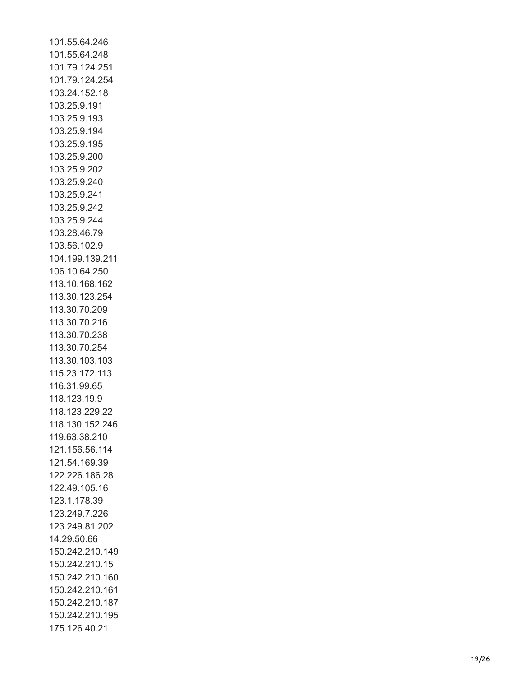101.55.64.246 101.55.64.248 101.79.124.251 101.79.124.254 103.24.152.18 103.25.9.191 103.25.9.193 103.25.9.194 103.25.9.195 103.25.9.200 103.25.9.202 103.25.9.240 103.25.9.241 103.25.9.242 103.25.9.244 103.28.46.79 103.56.102.9 104.199.139.21 1 106.10.64.250 113.10.168.162 113.30.123.254 113.30.70.209 113.30.70.216 113.30.70.238 113.30.70.254 113.30.103.103 115.23.172.113 116.31.99.65 118.123.19.9 118.123.229.22 118.130.152.246 119.63.38.210 121.156.56.114 121.54.169.39 122.226.186.28 122.49.105.16 123.1.178.39 123.249.7.226 123.249.81.202 14.29.50.66 150.242.210.149 150.242.210.15 150.242.210.160 150.242.210.161 150.242.210.187 150.242.210.195 175.126.40.21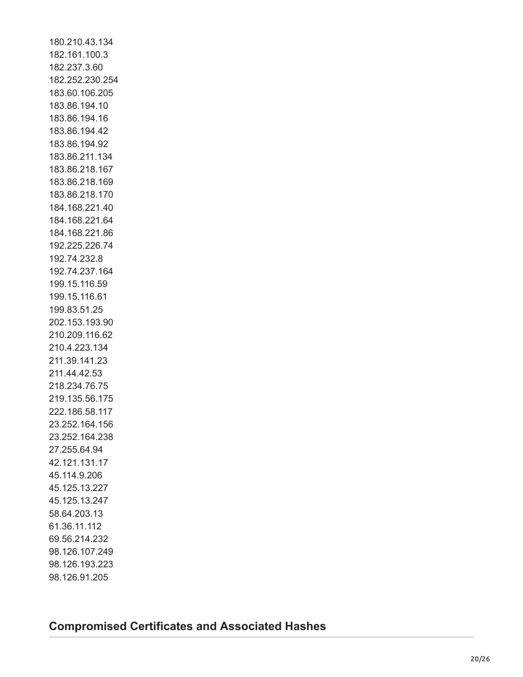180.210.43.134 182.161.100.3 182.237.3.60 182.252.230.254 183.60.106.205 183.86.194.10 183.86.194.16 183.86.194.42 183.86.194.92 183.86.211.134 183.86.218.167 183.86.218.169 183.86.218.170 184.168.221.40 184.168.221.64 184.168.221.86 192.225.226.74 192.74.232.8 192.74.237.164 199.15.116.59 199.15.116.61 199.83.51.25 202.153.193.90 210.209.116.62 210.4.223.134 211.39.141.23 211.44.42.53 218.234.76.75 219.135.56.175 222.186.58.117 23.252.164.156 23.252.164.238 27.255.64.94 42.121.131.17 45.114.9.206 45.125.13.227 45.125.13.247 58.64.203.13 61.36.11.112 69.56.214.232 98.126.107.249 98.126.193.223 98.126.91.205

# **Compromised Certificates and Associated Hashes**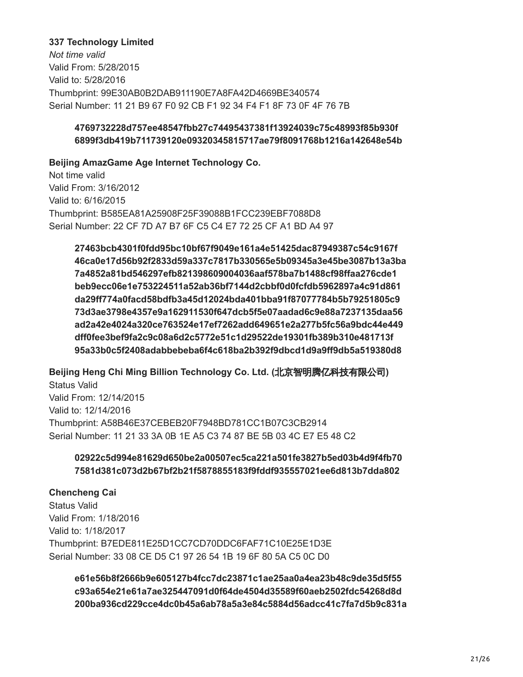#### **337 Technology Limited**

*Not time valid* Valid From: 5/28/2015 Valid to: 5/28/2016 Thumbprint: 99E30AB0B2DAB911190E7A8FA42D4669BE340574 Serial Number: 11 21 B9 67 F0 92 CB F1 92 34 F4 F1 8F 73 0F 4F 76 7B

## **4769732228d757ee48547fbb27c74495437381f13924039c75c48993f85b930f 6899f3db419b711739120e09320345815717ae79f8091768b1216a142648e54b**

**Beijing AmazGame Age Internet Technology Co.**

Not time valid Valid From: 3/16/2012 Valid to: 6/16/2015 Thumbprint: B585EA81A25908F25F39088B1FCC239EBF7088D8 Serial Number: 22 CF 7D A7 B7 6F C5 C4 E7 72 25 CF A1 BD A4 97

 **27463bcb4301f0fdd95bc10bf67f9049e161a4e51425dac87949387c54c9167f 46ca0e17d56b92f2833d59a337c7817b330565e5b09345a3e45be3087b13a3ba 7a4852a81bd546297efb821398609004036aaf578ba7b1488cf98ffaa276cde1 beb9ecc06e1e753224511a52ab36bf7144d2cbbf0d0fcfdb5962897a4c91d861 da29ff774a0facd58bdfb3a45d12024bda401bba91f87077784b5b79251805c9 73d3ae3798e4357e9a162911530f647dcb5f5e07aadad6c9e88a7237135daa56 ad2a42e4024a320ce763524e17ef7262add649651e2a277b5fc56a9bdc44e449 dff0fee3bef9fa2c9c08a6d2c5772e51c1d29522de19301fb389b310e481713f 95a33b0c5f2408adabbebeba6f4c618ba2b392f9dbcd1d9a9ff9db5a519380d8**

**Beijing Heng Chi Ming Billion Technology Co. Ltd. (**北京智明腾亿科技有限公司**)** Status Valid Valid From: 12/14/2015 Valid to: 12/14/2016 Thumbprint: A58B46E37CEBEB20F7948BD781CC1B07C3CB2914 Serial Number: 11 21 33 3A 0B 1E A5 C3 74 87 BE 5B 03 4C E7 E5 48 C2

## **02922c5d994e81629d650be2a00507ec5ca221a501fe3827b5ed03b4d9f4fb70 7581d381c073d2b67bf2b21f5878855183f9fddf935557021ee6d813b7dda802**

#### **Chencheng Cai**

Status Valid Valid From: 1/18/2016 Valid to: 1/18/2017 Thumbprint: B7EDE811E25D1CC7CD70DDC6FAF71C10E25E1D3E Serial Number: 33 08 CE D5 C1 97 26 54 1B 19 6F 80 5A C5 0C D0

 **e61e56b8f2666b9e605127b4fcc7dc23871c1ae25aa0a4ea23b48c9de35d5f55 c93a654e21e61a7ae325447091d0f64de4504d35589f60aeb2502fdc54268d8d 200ba936cd229cce4dc0b45a6ab78a5a3e84c5884d56adcc41c7fa7d5b9c831a**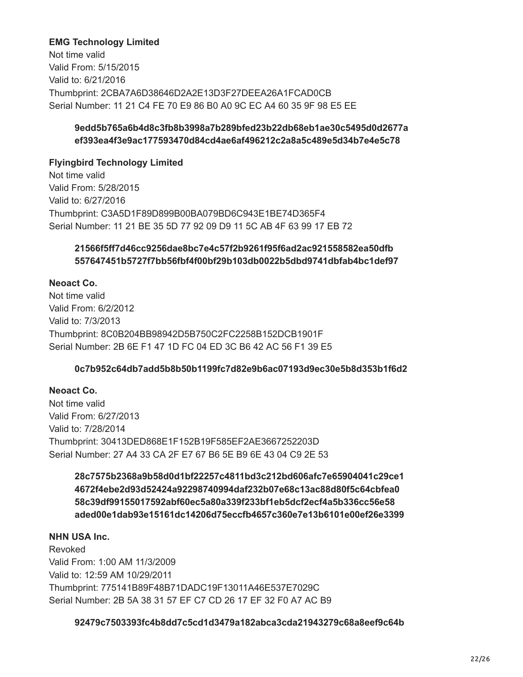### **EMG Technology Limited**

Not time valid Valid From: 5/15/2015 Valid to: 6/21/2016 Thumbprint: 2CBA7A6D38646D2A2E13D3F27DEEA26A1FCAD0CB Serial Number: 11 21 C4 FE 70 E9 86 B0 A0 9C EC A4 60 35 9F 98 E5 EE

### **9edd5b765a6b4d8c3fb8b3998a7b289bfed23b22db68eb1ae30c5495d0d2677a ef393ea4f3e9ac177593470d84cd4ae6af496212c2a8a5c489e5d34b7e4e5c78**

### **Flyingbird Technology Limited**

Not time valid Valid From: 5/28/2015 Valid to: 6/27/2016 Thumbprint: C3A5D1F89D899B00BA079BD6C943E1BE74D365F4 Serial Number: 11 21 BE 35 5D 77 92 09 D9 11 5C AB 4F 63 99 17 EB 72

## **21566f5ff7d46cc9256dae8bc7e4c57f2b9261f95f6ad2ac921558582ea50dfb 557647451b5727f7bb56fbf4f00bf29b103db0022b5dbd9741dbfab4bc1def97**

### **Neoact Co.**

Not time valid Valid From: 6/2/2012 Valid to: 7/3/2013 Thumbprint: 8C0B204BB98942D5B750C2FC2258B152DCB1901F Serial Number: 2B 6E F1 47 1D FC 04 ED 3C B6 42 AC 56 F1 39 E5

## **0c7b952c64db7add5b8b50b1199fc7d82e9b6ac07193d9ec30e5b8d353b1f6d2**

## **Neoact Co.**

Not time valid Valid From: 6/27/2013 Valid to: 7/28/2014 Thumbprint: 30413DED868E1F152B19F585EF2AE3667252203D Serial Number: 27 A4 33 CA 2F E7 67 B6 5E B9 6E 43 04 C9 2E 53

## **28c7575b2368a9b58d0d1bf22257c4811bd3c212bd606afc7e65904041c29ce1 4672f4ebe2d93d52424a92298740994daf232b07e68c13ac88d80f5c64cbfea0 58c39df99155017592abf60ec5a80a339f233bf1eb5dcf2ecf4a5b336cc56e58 aded00e1dab93e15161dc14206d75eccfb4657c360e7e13b6101e00ef26e3399**

### **NHN USA Inc.**

Revoked Valid From: 1:00 AM 11/3/2009 Valid to: 12:59 AM 10/29/2011 Thumbprint: 775141B89F48B71DADC19F13011A46E537E7029C Serial Number: 2B 5A 38 31 57 EF C7 CD 26 17 EF 32 F0 A7 AC B9

#### **92479c7503393fc4b8dd7c5cd1d3479a182abca3cda21943279c68a8eef9c64b**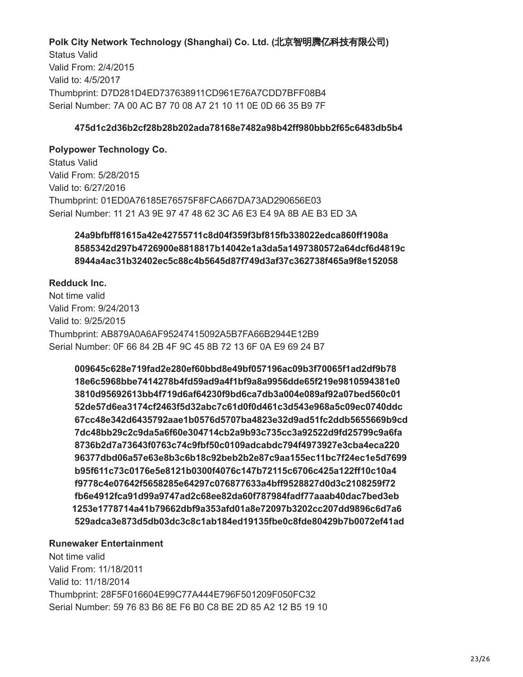## **Polk City Network Technology (Shanghai) Co. Ltd. (**北京智明腾亿科技有限公司**)**

Status Valid Valid From: 2/4/2015 Valid to: 4/5/2017 Thumbprint: D7D281D4ED737638911CD961E76A7CDD7BFF08B4 Serial Number: 7A 00 AC B7 70 08 A7 21 10 11 0E 0D 66 35 B9 7F

#### **475d1c2d36b2cf28b28b202ada78168e7482a98b42ff980bbb2f65c6483db5b4**

### **Polypower Technology Co.**

Status Valid Valid From: 5/28/2015 Valid to: 6/27/2016 Thumbprint: 01ED0A76185E76575F8FCA667DA73AD290656E03 Serial Number: 11 21 A3 9E 97 47 48 62 3C A6 E3 E4 9A 8B AE B3 ED 3A

## **24a9bfbff81615a42e42755711c8d04f359f3bf815fb338022edca860ff1908a 8585342d297b4726900e8818817b14042e1a3da5a1497380572a64dcf6d4819c 8944a4ac31b32402ec5c88c4b5645d87f749d3af37c362738f465a9f8e152058**

#### **Redduck Inc.**

Not time valid Valid From: 9/24/2013 Valid to: 9/25/2015 Thumbprint: AB879A0A6AF95247415092A5B7FA66B2944E12B9 Serial Number: 0F 66 84 2B 4F 9C 45 8B 72 13 6F 0A E9 69 24 B7

 **009645c628e719fad2e280ef60bbd8e49bf057196ac09b3f70065f1ad2df9b78 18e6c5968bbe7414278b4fd59ad9a4f1bf9a8a9956dde65f219e9810594381e0 3810d95692613bb4f719d6af64230f9bd6ca7db3a004e089af92a07bed560c01 52de57d6ea3174cf2463f5d32abc7c61d0f0d461c3d543e968a5c09ec0740ddc 67cc48e342d6435792aae1b0576d5707ba4823e32d9ad51fc2ddb5655669b9cd 7dc48bb29c2c9da5a6f60e304714cb2a9b93c735cc3a92522d9fd25799c9a6fa 8736b2d7a73643f0763c74c9fbf50c0109adcabdc794f4973927e3cba4eca220 96377dbd06a57e63e8b3c6b18c92beb2b2e87c9aa155ec11bc7f24ec1e5d7699 b95f611c73c0176e5e8121b0300f4076c147b72115c6706c425a122ff10c10a4 f9778c4e07642f5658285e64297c076877633a4bff9528827d0d3c2108259f72 fb6e4912fca91d99a9747ad2c68ee82da60f787984fadf77aaab40dac7bed3eb 1253e1778714a41b79662dbf9a353afd01a8e72097b3202cc207dd9896c6d7a6 529adca3e873d5db03dc3c8c1ab184ed19135fbe0c8fde80429b7b0072ef41ad**

#### **Runewaker Entertainment**

Not time valid Valid From: 11/18/2011 Valid to: 11/18/2014 Thumbprint: 28F5F016604E99C77A444E796F501209F050FC32 Serial Number: 59 76 83 B6 8E F6 B0 C8 BE 2D 85 A2 12 B5 19 10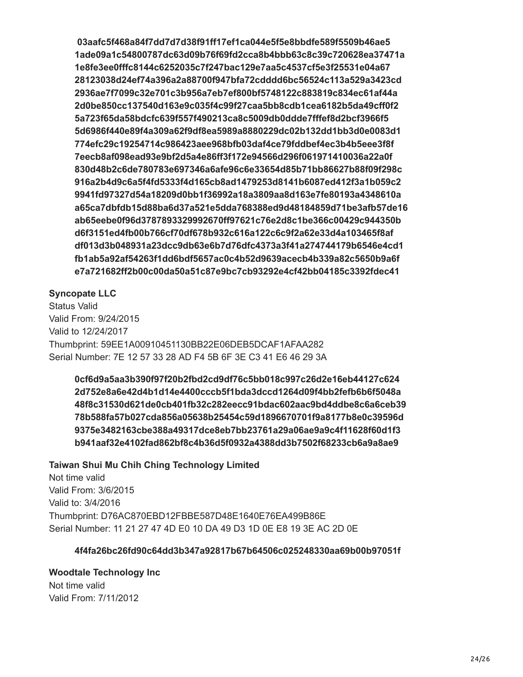**03aafc5f468a84f7dd7d7d38f91ff17ef1ca044e5f5e8bbdfe589f5509b46ae5 1ade09a1c54800787dc63d09b76f69fd2cca8b4bbb63c8c39c720628ea37471a 1e8fe3ee0fffc8144c6252035c7f247bac129e7aa5c4537cf5e3f25531e04a67 28123038d24ef74a396a2a88700f947bfa72cdddd6bc56524c113a529a3423cd 2936ae7f7099c32e701c3b956a7eb7ef800bf5748122c883819c834ec61af44a 2d0be850cc137540d163e9c035f4c99f27caa5bb8cdb1cea6182b5da49cff0f2 5a723f65da58bdcfc639f557f490213ca8c5009db0ddde7fffef8d2bcf3966f5 5d6986f440e89f4a309a62f9df8ea5989a8880229dc02b132dd1bb3d0e0083d1 774efc29c19254714c986423aee968bfb03daf4ce79fddbef4ec3b4b5eee3f8f 7eecb8af098ead93e9bf2d5a4e86ff3f172e94566d296f061971410036a22a0f 830d48b2c6de780783e697346a6afe96c6e33654d85b71bb86627b88f09f298c 916a2b4d9c6a5f4fd5333f4d165cb8ad1479253d8141b6087ed412f3a1b059c2 9941fd97327d54a18209d0bb1f36992a18a3809aa8d163e7fe80193a4348610a a65ca7dbfdb15d88ba6d37a521e5dda768388ed9d48184859d71be3afb57de16 ab65eebe0f96d3787893329992670ff97621c76e2d8c1be366c00429c944350b d6f3151ed4fb00b766cf70df678b932c616a122c6c9f2a62e33d4a103465f8af df013d3b048931a23dcc9db63e6b7d76dfc4373a3f41a274744179b6546e4cd1 fb1ab5a92af54263f1dd6bdf5657ac0c4b52d9639acecb4b339a82c5650b9a6f e7a721682ff2b00c00da50a51c87e9bc7cb93292e4cf42bb04185c3392fdec41**

#### **Syncopate LLC**

Status Valid Valid From: 9/24/2015 Valid to 12/24/2017 Thumbprint: 59EE1A00910451130BB22E06DEB5DCAF1AFAA282 Serial Number: 7E 12 57 33 28 AD F4 5B 6F 3E C3 41 E6 46 29 3A

 **0cf6d9a5aa3b390f97f20b2fbd2cd9df76c5bb018c997c26d2e16eb44127c624 2d752e8a6e42d4b1d14e4400cccb5f1bda3dccd1264d09f4bb2fefb6b6f5048a 48f8c31530d621de0cb401fb32c282eecc91bdac602aac9bd4ddbe8c6a6ceb39 78b588fa57b027cda856a05638b25454c59d1896670701f9a8177b8e0c39596d 9375e3482163cbe388a49317dce8eb7bb23761a29a06ae9a9c4f11628f60d1f3 b941aaf32e4102fad862bf8c4b36d5f0932a4388dd3b7502f68233cb6a9a8ae9**

#### **Taiwan Shui Mu Chih Ching Technology Limited**

Not time valid Valid From: 3/6/2015 Valid to: 3/4/2016 Thumbprint: D76AC870EBD12FBBE587D48E1640E76EA499B86E Serial Number: 11 21 27 47 4D E0 10 DA 49 D3 1D 0E E8 19 3E AC 2D 0E

#### **4f4fa26bc26fd90c64dd3b347a92817b67b64506c025248330aa69b00b97051f**

**Woodtale Technology Inc** Not time valid Valid From: 7/11/2012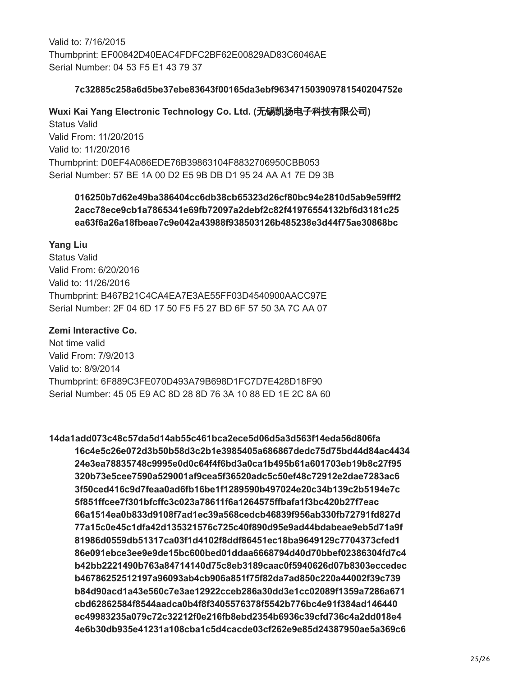Valid to: 7/16/2015 Thumbprint: EF00842D40EAC4FDFC2BF62E00829AD83C6046AE Serial Number: 04 53 F5 E1 43 79 37

#### **7c32885c258a6d5be37ebe83643f00165da3ebf963471503909781540204752e**

### **Wuxi Kai Yang Electronic Technology Co. Ltd. (**无锡凯扬电子科技有限公司**)**

Status Valid Valid From: 11/20/2015 Valid to: 11/20/2016 Thumbprint: D0EF4A086EDE76B39863104F8832706950CBB053 Serial Number: 57 BE 1A 00 D2 E5 9B DB D1 95 24 AA A1 7E D9 3B

## **016250b7d62e49ba386404cc6db38cb65323d26cf80bc94e2810d5ab9e59fff2 2acc78ece9cb1a7865341e69fb72097a2debf2c82f41976554132bf6d3181c25 ea63f6a26a18fbeae7c9e042a43988f938503126b485238e3d44f75ae30868bc**

### **Yang Liu**

Status Valid Valid From: 6/20/2016 Valid to: 11/26/2016 Thumbprint: B467B21C4CA4EA7E3AE55FF03D4540900AACC97E Serial Number: 2F 04 6D 17 50 F5 F5 27 BD 6F 57 50 3A 7C AA 07

#### **Zemi Interactive Co.**

Not time valid Valid From: 7/9/2013 Valid to: 8/9/2014 Thumbprint: 6F889C3FE070D493A79B698D1FC7D7E428D18F90 Serial Number: 45 05 E9 AC 8D 28 8D 76 3A 10 88 ED 1E 2C 8A 60

**14da1add073c48c57da5d14ab55c461bca2ece5d06d5a3d563f14eda56d806fa 16c4e5c26e072d3b50b58d3c2b1e3985405a686867dedc75d75bd44d84ac4434 24e3ea78835748c9995e0d0c64f4f6bd3a0ca1b495b61a601703eb19b8c27f95 320b73e5cee7590a529001af9cea5f36520adc5c50ef48c72912e2dae7283ac6 3f50ced416c9d7feaa0ad6fb16be1f1289590b497024e20c34b139c2b5194e7c 5f851ffcee7f301bfcffc3c023a78611f6a1264575ffbafa1f3bc420b27f7eac 66a1514ea0b833d9108f7ad1ec39a568cedcb46839f956ab330fb72791fd827d 77a15c0e45c1dfa42d135321576c725c40f890d95e9ad44bdabeae9eb5d71a9f 81986d0559db51317ca03f1d4102f8ddf86451ec18ba9649129c7704373cfed1 86e091ebce3ee9e9de15bc600bed01ddaa6668794d40d70bbef02386304fd7c4 b42bb2221490b763a84714140d75c8eb3189caac0f5940626d07b8303eccedec b46786252512197a96093ab4cb906a851f75f82da7ad850c220a44002f39c739 b84d90acd1a43e560c7e3ae12922cceb286a30dd3e1cc02089f1359a7286a671 cbd62862584f8544aadca0b4f8f3405576378f5542b776bc4e91f384ad146440 ec49983235a079c72c32212f0e216fb8ebd2354b6936c39cfd736c4a2dd018e4 4e6b30db935e41231a108cba1c5d4cacde03cf262e9e85d24387950ae5a369c6**